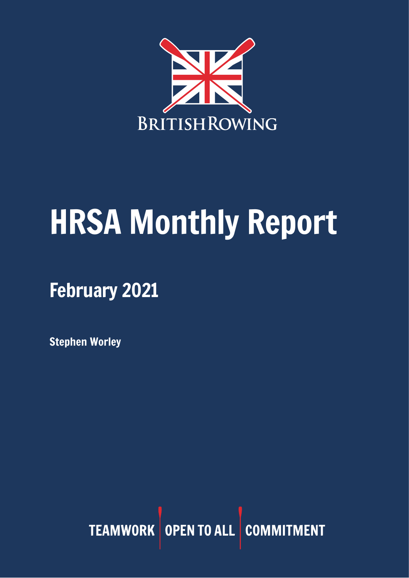

# HRSA Monthly Report

February 2021

Stephen Worley

TEAMWORK OPEN TO ALL COMMITMENT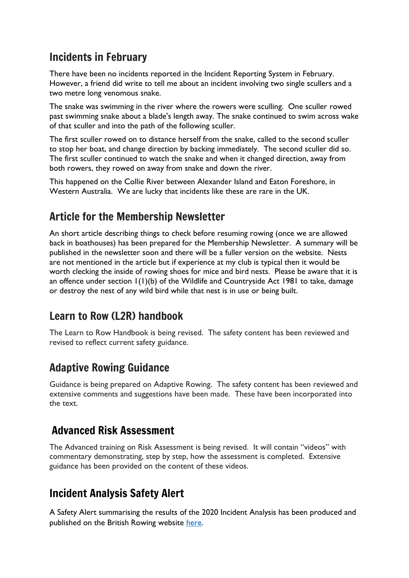#### Incidents in February

There have been no incidents reported in the Incident Reporting System in February. However, a friend did write to tell me about an incident involving two single scullers and a two metre long venomous snake.

The snake was swimming in the river where the rowers were sculling. One sculler rowed past swimming snake about a blade's length away. The snake continued to swim across wake of that sculler and into the path of the following sculler.

The first sculler rowed on to distance herself from the snake, called to the second sculler to stop her boat, and change direction by backing immediately. The second sculler did so. The first sculler continued to watch the snake and when it changed direction, away from both rowers, they rowed on away from snake and down the river.

This happened on the Collie River between Alexander Island and Eaton Foreshore, in Western Australia. We are lucky that incidents like these are rare in the UK.

## Article for the Membership Newsletter

An short article describing things to check before resuming rowing (once we are allowed back in boathouses) has been prepared for the Membership Newsletter. A summary will be published in the newsletter soon and there will be a fuller version on the website. Nests are not mentioned in the article but if experience at my club is typical then it would be worth clecking the inside of rowing shoes for mice and bird nests. Please be aware that it is an offence under section 1(1)(b) of the Wildlife and Countryside Act 1981 to take, damage or destroy the nest of any wild bird while that nest is in use or being built.

## Learn to Row (L2R) handbook

The Learn to Row Handbook is being revised. The safety content has been reviewed and revised to reflect current safety guidance.

## Adaptive Rowing Guidance

Guidance is being prepared on Adaptive Rowing. The safety content has been reviewed and extensive comments and suggestions have been made. These have been incorporated into the text.

#### Advanced Risk Assessment

The Advanced training on Risk Assessment is being revised. It will contain "videos" with commentary demonstrating, step by step, how the assessment is completed. Extensive guidance has been provided on the content of these videos.

## Incident Analysis Safety Alert

A Safety Alert summarising the results of the 2020 Incident Analysis has been produced and published on the British Rowing website [here.](https://www.britishrowing.org/knowledge/safety/safety-alert-archive/)